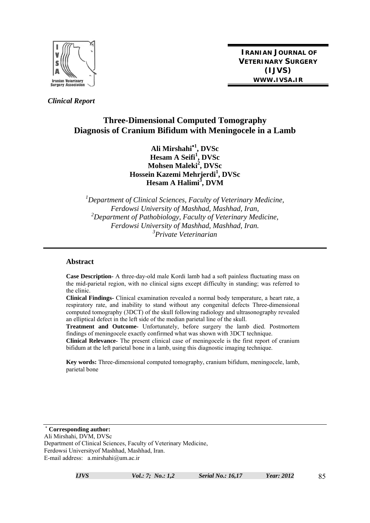

**IRANIAN JOURNAL OF VETERINARY SURGERY (IJVS) WWW.IVSA.IR**

 *Clinical Report* 

# **Three-Dimensional Computed Tomography Diagnosis of Cranium Bifidum with Meningocele in a Lamb**

**Ali Mirshahi**<sup>∗</sup>**<sup>1</sup> , DVSc Hesam A Seifi<sup>1</sup> , DVSc Mohsen Maleki<sup>2</sup> , DVSc Hossein Kazemi Mehrjerdi1 , DVSc Hesam A Halimi<sup>3</sup> , DVM** 

*1 Department of Clinical Sciences, Faculty of Veterinary Medicine, Ferdowsi University of Mashhad, Mashhad, Iran, 2 Department of Pathobiology, Faculty of Veterinary Medicine, Ferdowsi University of Mashhad, Mashhad, Iran. 3 Private Veterinarian* 

#### **Abstract**

**Case Description-** A three-day-old male Kordi lamb had a soft painless fluctuating mass on the mid-parietal region, with no clinical signs except difficulty in standing; was referred to the clinic.

**Clinical Findings-** Clinical examination revealed a normal body temperature, a heart rate, a respiratory rate, and inability to stand without any congenital defects Three-dimensional computed tomography (3DCT) of the skull following radiology and ultrasonography revealed an elliptical defect in the left side of the median parietal line of the skull.

**Treatment and Outcome-** Unfortunately, before surgery the lamb died. Postmortem findings of meningocele exactly confirmed what was shown with 3DCT technique.

**Clinical Relevance-** The present clinical case of meningocele is the first report of cranium bifidum at the left parietal bone in a lamb, using this diagnostic imaging technique.

**Key words:** Three-dimensional computed tomography, cranium bifidum, meningocele, lamb, parietal bone

<sup>∗</sup> **Corresponding author:**  Ali Mirshahi, DVM, DVSc Department of Clinical Sciences, Faculty of Veterinary Medicine, Ferdowsi Universityof Mashhad, Mashhad, Iran. E-mail address: a.mirshahi@um.ac.ir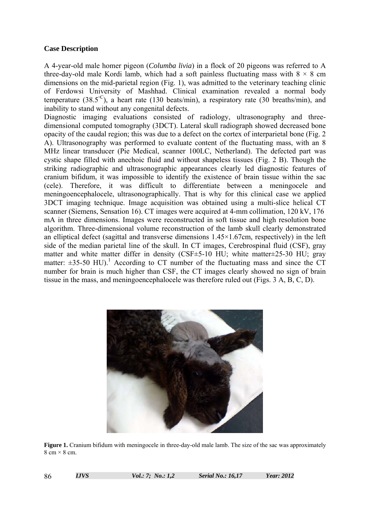### **Case Description**

A 4-year-old male homer pigeon (*Columba livia*) in a flock of 20 pigeons was referred to A three-day-old male Kordi lamb, which had a soft painless fluctuating mass with  $8 \times 8$  cm dimensions on the mid-parietal region (Fig. 1), was admitted to the veterinary teaching clinic of Ferdowsi University of Mashhad. Clinical examination revealed a normal body temperature (38.5<sup>°C</sup>), a heart rate (130 beats/min), a respiratory rate (30 breaths/min), and inability to stand without any congenital defects.

Diagnostic imaging evaluations consisted of radiology, ultrasonography and threedimensional computed tomography (3DCT). Lateral skull radiograph showed decreased bone opacity of the caudal region; this was due to a defect on the cortex of interparietal bone (Fig. 2 A). Ultrasonography was performed to evaluate content of the fluctuating mass, with an 8 MHz linear transducer (Pie Medical, scanner 100LC, Netherland). The defected part was cystic shape filled with anechoic fluid and without shapeless tissues (Fig. 2 B). Though the striking radiographic and ultrasonographic appearances clearly led diagnostic features of cranium bifidum, it was impossible to identify the existence of brain tissue within the sac (cele). Therefore, it was difficult to differentiate between a meningocele and meningoencephalocele, ultrasonographically. That is why for this clinical case we applied 3DCT imaging technique. Image acquisition was obtained using a multi-slice helical CT scanner (Siemens, Sensation 16). CT images were acquired at 4-mm collimation, 120 kV, 176 mA in three dimensions. Images were reconstructed in soft tissue and high resolution bone algorithm. Three-dimensional volume reconstruction of the lamb skull clearly demonstrated an elliptical defect (sagittal and transverse dimensions 1.45×1.67cm, respectively) in the left side of the median parietal line of the skull. In CT images, Cerebrospinal fluid (CSF), gray matter and white matter differ in density (CSF±5-10 HU; white matter±25-30 HU; gray matter:  $\pm 35$ -50 HU).<sup>1</sup> According to CT number of the fluctuating mass and since the CT number for brain is much higher than CSF, the CT images clearly showed no sign of brain tissue in the mass, and meningoencephalocele was therefore ruled out (Figs. 3 A, B, C, D).



**Figure 1.** Cranium bifidum with meningocele in three-day-old male lamb. The size of the sac was approximately  $8 \text{ cm} \times 8 \text{ cm}$ .

86 *IJVS Vol.: 7; No.: 1,2 Serial No.: 16,17 Year: 2012*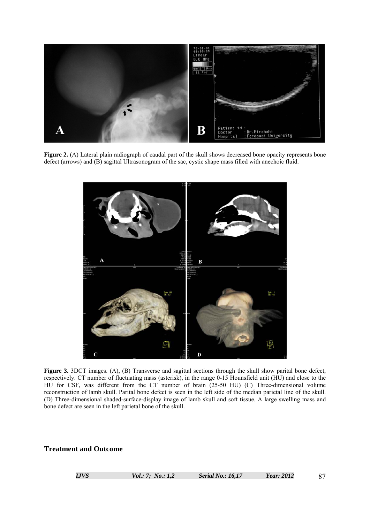

**Figure 2.** (A) Lateral plain radiograph of caudal part of the skull shows decreased bone opacity represents bone defect (arrows) and (B) sagittal Ultrasonogram of the sac, cystic shape mass filled with anechoic fluid.



**Figure 3.** 3DCT images. (A), (B) Transverse and sagittal sections through the skull show parital bone defect, respectively. CT number of fluctuating mass (asterisk), in the range 0-15 Hounsfield unit (HU) and close to the HU for CSF, was different from the CT number of brain (25-50 HU) (C) Three-dimensional volume reconstruction of lamb skull. Parital bone defect is seen in the left side of the median parietal line of the skull. (D) Three-dimensional shaded-surface-display image of lamb skull and soft tissue. A large swelling mass and bone defect are seen in the left parietal bone of the skull.

#### **Treatment and Outcome**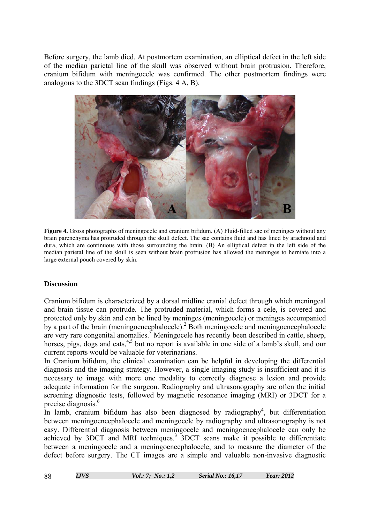Before surgery, the lamb died. At postmortem examination, an elliptical defect in the left side of the median parietal line of the skull was observed without brain protrusion. Therefore, cranium bifidum with meningocele was confirmed. The other postmortem findings were analogous to the 3DCT scan findings (Figs. 4 A, B).



**Figure 4.** Gross photographs of meningocele and cranium bifidum. (A) Fluid-filled sac of meninges without any brain parenchyma has protruded through the skull defect. The sac contains fluid and has lined by arachnoid and dura, which are continuous with those surrounding the brain. (B) An elliptical defect in the left side of the median parietal line of the skull is seen without brain protrusion has allowed the meninges to herniate into a large external pouch covered by skin.

### **Discussion**

Cranium bifidum is characterized by a dorsal midline cranial defect through which meningeal and brain tissue can protrude. The protruded material, which forms a cele, is covered and protected only by skin and can be lined by meninges (meningocele) or meninges accompanied by a part of the brain (meningoencephalocele).<sup>2</sup> Both meningocele and meningoencephalocele are very rare congenital anomalies.<sup>3</sup> Meningocele has recently been described in cattle, sheep, horses, pigs, dogs and cats,  $4.5$  but no report is available in one side of a lamb's skull, and our current reports would be valuable for veterinarians.

In Cranium bifidum, the clinical examination can be helpful in developing the differential diagnosis and the imaging strategy. However, a single imaging study is insufficient and it is necessary to image with more one modality to correctly diagnose a lesion and provide adequate information for the surgeon. Radiography and ultrasonography are often the initial screening diagnostic tests, followed by magnetic resonance imaging (MRI) or 3DCT for a precise diagnosis.<sup>6</sup>

In lamb, cranium bifidum has also been diagnosed by radiography<sup>4</sup>, but differentiation between meningoencephalocele and meningocele by radiography and ultrasonography is not easy. Differential diagnosis between meningocele and meningoencephalocele can only be achieved by 3DCT and MRI techniques.<sup>3</sup> 3DCT scans make it possible to differentiate between a meningocele and a meningoencephalocele, and to measure the diameter of the defect before surgery. The CT images are a simple and valuable non-invasive diagnostic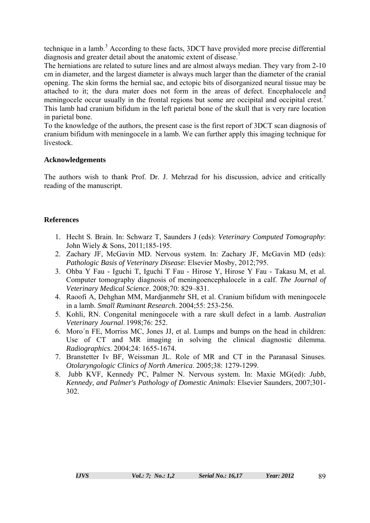technique in a lamb.<sup>3</sup> According to these facts,  $3DCT$  have provided more precise differential diagnosis and greater detail about the anatomic extent of disease.<sup>7</sup>

The herniations are related to suture lines and are almost always median. They vary from 2-10 cm in diameter, and the largest diameter is always much larger than the diameter of the cranial opening. The skin forms the hernial sac, and ectopic bits of disorganized neural tissue may be attached to it; the dura mater does not form in the areas of defect. Encephalocele and meningocele occur usually in the frontal regions but some are occipital and occipital crest.<sup>7</sup> This lamb had cranium bifidum in the left parietal bone of the skull that is very rare location in parietal bone.

To the knowledge of the authors, the present case is the first report of 3DCT scan diagnosis of cranium bifidum with meningocele in a lamb. We can further apply this imaging technique for livestock.

### **Acknowledgements**

The authors wish to thank Prof. Dr. J. Mehrzad for his discussion, advice and critically reading of the manuscript.

## **References**

- 1. Hecht S. Brain. In: Schwarz T, Saunders J (eds): *Veterinary Computed Tomography*: John Wiely & Sons, 2011;185-195.
- 2. Zachary JF, McGavin MD. Nervous system. In: Zachary JF, McGavin MD (eds): *Pathologic Basis of Veterinary Disease*: Elsevier Mosby, 2012;795.
- 3. Ohba Y Fau Iguchi T, Iguchi T Fau Hirose Y, Hirose Y Fau Takasu M, et al. Computer tomography diagnosis of meningoencephalocele in a calf. *The Journal of Veterinary Medical Science*. 2008;70: 829–831.
- 4. Raoofi A, Dehghan MM, Mardjanmehr SH, et al. Cranium bifidum with meningocele in a lamb. *Small Ruminant Research*. 2004;55: 253-256.
- 5. Kohli, RN. Congenital meningocele with a rare skull defect in a lamb. *Australian Veterinary Journal*. 1998;76: 252.
- 6. Moro´n FE, Morriss MC, Jones JJ, et al. Lumps and bumps on the head in children: Use of CT and MR imaging in solving the clinical diagnostic dilemma. *Radiographics*. 2004;24: 1655-1674.
- 7. Branstetter Iv BF, Weissman JL. Role of MR and CT in the Paranasal Sinuses. *Otolaryngologic Clinics of North America*. 2005;38: 1279-1299.
- 8. Jubb KVF, Kennedy PC, Palmer N. Nervous system. In: Maxie MG(ed): *Jubb, Kennedy, and Palmer's Pathology of Domestic Animals*: Elsevier Saunders, 2007;301- 302.